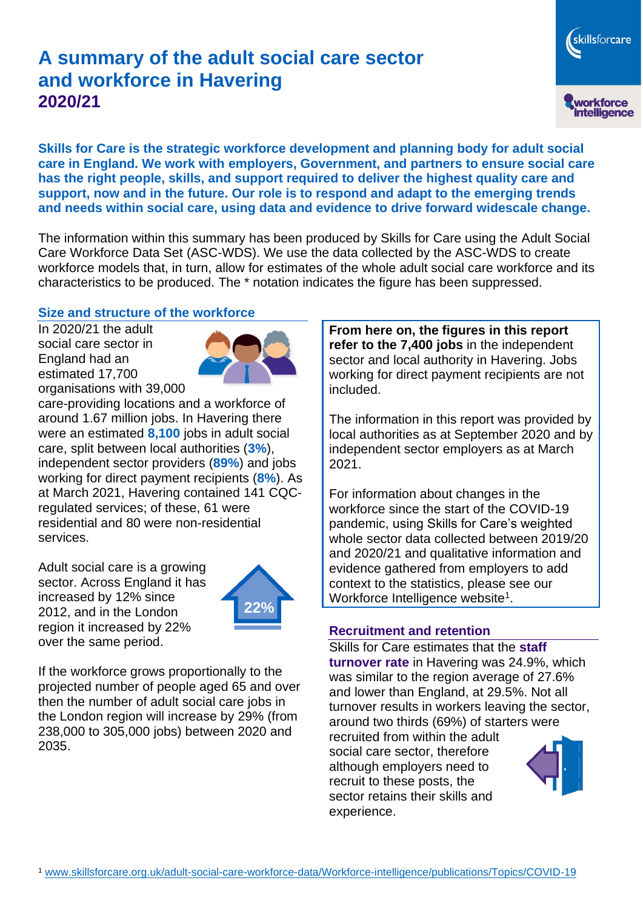# **A summary of the adult social care sector and workforce in Havering 2020/21**

skillsforcare workforce<br>intelligence

**Skills for Care is the strategic workforce development and planning body for adult social care in England. We work with employers, Government, and partners to ensure social care has the right people, skills, and support required to deliver the highest quality care and support, now and in the future. Our role is to respond and adapt to the emerging trends and needs within social care, using data and evidence to drive forward widescale change.**

The information within this summary has been produced by Skills for Care using the Adult Social Care Workforce Data Set (ASC-WDS). We use the data collected by the ASC-WDS to create workforce models that, in turn, allow for estimates of the whole adult social care workforce and its characteristics to be produced. The \* notation indicates the figure has been suppressed.

#### **Size and structure of the workforce**

In 2020/21 the adult social care sector in England had an estimated 17,700 organisations with 39,000



care-providing locations and a workforce of around 1.67 million jobs. In Havering there were an estimated **8,100** jobs in adult social care, split between local authorities (**3%**), independent sector providers (**89%**) and jobs working for direct payment recipients (**8%**). As at March 2021, Havering contained 141 CQCregulated services; of these, 61 were residential and 80 were non-residential services.

Adult social care is a growing sector. Across England it has increased by 12% since 2012, and in the London region it increased by 22% over the same period.



If the workforce grows proportionally to the projected number of people aged 65 and over then the number of adult social care jobs in the London region will increase by 29% (from 238,000 to 305,000 jobs) between 2020 and 2035.

**From here on, the figures in this report refer to the 7,400 jobs** in the independent sector and local authority in Havering. Jobs working for direct payment recipients are not included.

The information in this report was provided by local authorities as at September 2020 and by independent sector employers as at March 2021.

For information about changes in the workforce since the start of the COVID-19 pandemic, using Skills for Care's weighted whole sector data collected between 2019/20 and 2020/21 and qualitative information and evidence gathered from employers to add context to the statistics, please see our Workforce Intelligence website<sup>1</sup>.

#### **Recruitment and retention**

Skills for Care estimates that the **staff turnover rate** in Havering was 24.9%, which was similar to the region average of 27.6% and lower than England, at 29.5%. Not all turnover results in workers leaving the sector, around two thirds (69%) of starters were recruited from within the adult social care sector, therefore although employers need to recruit to these posts, the sector retains their skills and experience.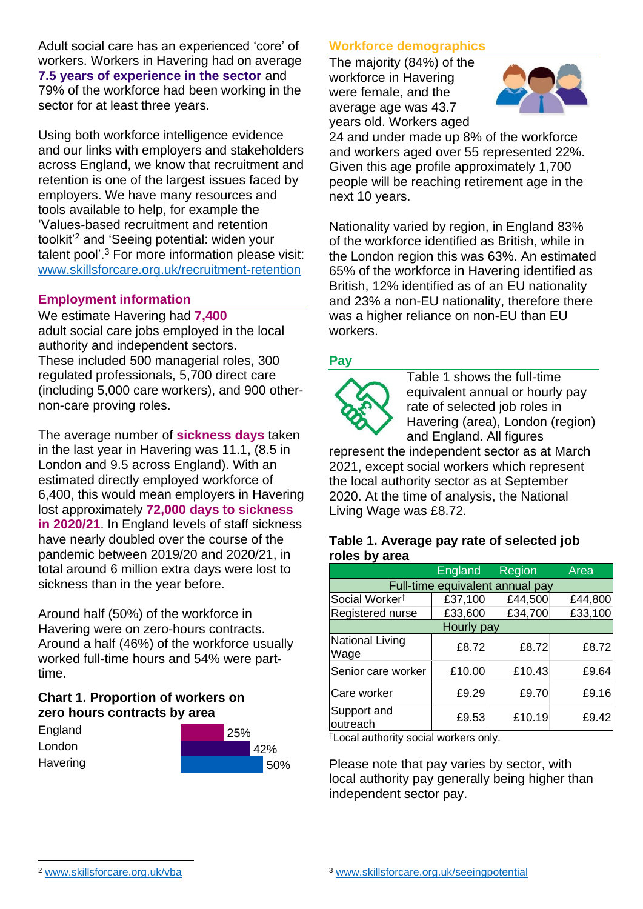Adult social care has an experienced 'core' of workers. Workers in Havering had on average **7.5 years of experience in the sector** and 79% of the workforce had been working in the sector for at least three years.

Using both workforce intelligence evidence and our links with employers and stakeholders across England, we know that recruitment and retention is one of the largest issues faced by employers. We have many resources and tools available to help, for example the 'Values-based recruitment and retention toolkit'<sup>2</sup> and 'Seeing potential: widen your talent pool'. <sup>3</sup> For more information please visit: [www.skillsforcare.org.uk/recruitment-retention](http://www.skillsforcare.org.uk/recruitment-retention)

#### **Employment information**

We estimate Havering had **7,400** adult social care jobs employed in the local authority and independent sectors. These included 500 managerial roles, 300 regulated professionals, 5,700 direct care (including 5,000 care workers), and 900 othernon-care proving roles.

The average number of **sickness days** taken in the last year in Havering was 11.1, (8.5 in London and 9.5 across England). With an estimated directly employed workforce of 6,400, this would mean employers in Havering lost approximately **72,000 days to sickness in 2020/21**. In England levels of staff sickness have nearly doubled over the course of the pandemic between 2019/20 and 2020/21, in total around 6 million extra days were lost to sickness than in the year before.

Around half (50%) of the workforce in Havering were on zero-hours contracts. Around a half (46%) of the workforce usually worked full-time hours and 54% were parttime.

# **Chart 1. Proportion of workers on zero hours contracts by area**

| England  | 25% |     |
|----------|-----|-----|
| London   |     | 42% |
| Havering |     | 50% |

# **Workforce demographics**

The majority (84%) of the workforce in Havering were female, and the average age was 43.7 years old. Workers aged



24 and under made up 8% of the workforce and workers aged over 55 represented 22%. Given this age profile approximately 1,700 people will be reaching retirement age in the next 10 years.

Nationality varied by region, in England 83% of the workforce identified as British, while in the London region this was 63%. An estimated 65% of the workforce in Havering identified as British, 12% identified as of an EU nationality and 23% a non-EU nationality, therefore there was a higher reliance on non-EU than EU workers.

# **Pay**



Table 1 shows the full-time equivalent annual or hourly pay rate of selected job roles in Havering (area), London (region) and England. All figures

represent the independent sector as at March 2021, except social workers which represent the local authority sector as at September 2020. At the time of analysis, the National Living Wage was £8.72.

#### **Table 1. Average pay rate of selected job roles by area**

|                                 | <b>England</b> | Region  | Area    |  |
|---------------------------------|----------------|---------|---------|--|
| Full-time equivalent annual pay |                |         |         |  |
| Social Worker <sup>t</sup>      | £37,100        | £44,500 | £44,800 |  |
| Registered nurse                | £33,600        | £34,700 | £33,100 |  |
| Hourly pay                      |                |         |         |  |
| National Living<br>Wage         | £8.72          | £8.72   | £8.72   |  |
| Senior care worker              | £10.00         | £10.43  | £9.64   |  |
| Care worker                     | £9.29          | £9.70   | £9.16   |  |
| Support and<br>outreach         | £9.53          | £10.19  | £9.42   |  |

†Local authority social workers only.

Please note that pay varies by sector, with local authority pay generally being higher than independent sector pay.